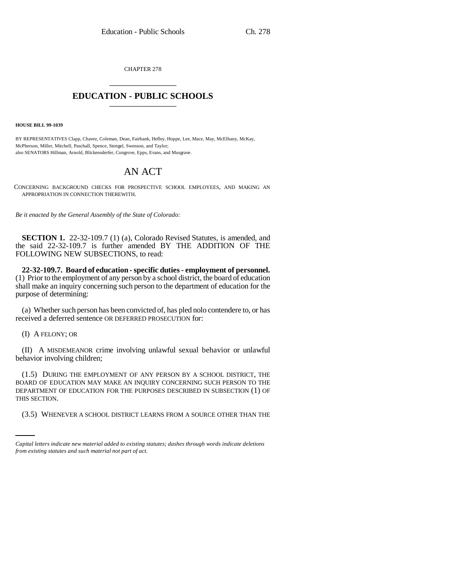CHAPTER 278 \_\_\_\_\_\_\_\_\_\_\_\_\_\_\_

## **EDUCATION - PUBLIC SCHOOLS** \_\_\_\_\_\_\_\_\_\_\_\_\_\_\_

**HOUSE BILL 99-1039**

BY REPRESENTATIVES Clapp, Chavez, Coleman, Dean, Fairbank, Hefley, Hoppe, Lee, Mace, May, McElhany, McKay, McPherson, Miller, Mitchell, Paschall, Spence, Stengel, Swenson, and Taylor; also SENATORS Hillman, Arnold, Blickensderfer, Congrove, Epps, Evans, and Musgrave.

# AN ACT

CONCERNING BACKGROUND CHECKS FOR PROSPECTIVE SCHOOL EMPLOYEES, AND MAKING AN APPROPRIATION IN CONNECTION THEREWITH.

*Be it enacted by the General Assembly of the State of Colorado:*

**SECTION 1.** 22-32-109.7 (1) (a), Colorado Revised Statutes, is amended, and the said 22-32-109.7 is further amended BY THE ADDITION OF THE FOLLOWING NEW SUBSECTIONS, to read:

**22-32-109.7. Board of education - specific duties - employment of personnel.** (1) Prior to the employment of any person by a school district, the board of education shall make an inquiry concerning such person to the department of education for the purpose of determining:

(a) Whether such person has been convicted of, has pled nolo contendere to, or has received a deferred sentence OR DEFERRED PROSECUTION for:

(I) A FELONY; OR

(II) A MISDEMEANOR crime involving unlawful sexual behavior or unlawful behavior involving children;

THIS SECTION. (1.5) DURING THE EMPLOYMENT OF ANY PERSON BY A SCHOOL DISTRICT, THE BOARD OF EDUCATION MAY MAKE AN INQUIRY CONCERNING SUCH PERSON TO THE DEPARTMENT OF EDUCATION FOR THE PURPOSES DESCRIBED IN SUBSECTION (1) OF

(3.5) WHENEVER A SCHOOL DISTRICT LEARNS FROM A SOURCE OTHER THAN THE

*Capital letters indicate new material added to existing statutes; dashes through words indicate deletions from existing statutes and such material not part of act.*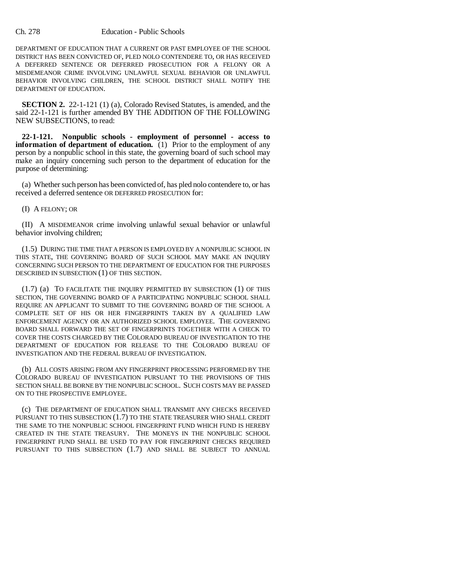#### Ch. 278 Education - Public Schools

DEPARTMENT OF EDUCATION THAT A CURRENT OR PAST EMPLOYEE OF THE SCHOOL DISTRICT HAS BEEN CONVICTED OF, PLED NOLO CONTENDERE TO, OR HAS RECEIVED A DEFERRED SENTENCE OR DEFERRED PROSECUTION FOR A FELONY OR A MISDEMEANOR CRIME INVOLVING UNLAWFUL SEXUAL BEHAVIOR OR UNLAWFUL BEHAVIOR INVOLVING CHILDREN, THE SCHOOL DISTRICT SHALL NOTIFY THE DEPARTMENT OF EDUCATION.

**SECTION 2.** 22-1-121 (1) (a), Colorado Revised Statutes, is amended, and the said 22-1-121 is further amended BY THE ADDITION OF THE FOLLOWING NEW SUBSECTIONS, to read:

**22-1-121. Nonpublic schools - employment of personnel - access to information of department of education.** (1) Prior to the employment of any person by a nonpublic school in this state, the governing board of such school may make an inquiry concerning such person to the department of education for the purpose of determining:

(a) Whether such person has been convicted of, has pled nolo contendere to, or has received a deferred sentence OR DEFERRED PROSECUTION for:

### (I) A FELONY; OR

(II) A MISDEMEANOR crime involving unlawful sexual behavior or unlawful behavior involving children;

(1.5) DURING THE TIME THAT A PERSON IS EMPLOYED BY A NONPUBLIC SCHOOL IN THIS STATE, THE GOVERNING BOARD OF SUCH SCHOOL MAY MAKE AN INQUIRY CONCERNING SUCH PERSON TO THE DEPARTMENT OF EDUCATION FOR THE PURPOSES DESCRIBED IN SUBSECTION (1) OF THIS SECTION.

(1.7) (a) TO FACILITATE THE INQUIRY PERMITTED BY SUBSECTION (1) OF THIS SECTION, THE GOVERNING BOARD OF A PARTICIPATING NONPUBLIC SCHOOL SHALL REQUIRE AN APPLICANT TO SUBMIT TO THE GOVERNING BOARD OF THE SCHOOL A COMPLETE SET OF HIS OR HER FINGERPRINTS TAKEN BY A QUALIFIED LAW ENFORCEMENT AGENCY OR AN AUTHORIZED SCHOOL EMPLOYEE. THE GOVERNING BOARD SHALL FORWARD THE SET OF FINGERPRINTS TOGETHER WITH A CHECK TO COVER THE COSTS CHARGED BY THE COLORADO BUREAU OF INVESTIGATION TO THE DEPARTMENT OF EDUCATION FOR RELEASE TO THE COLORADO BUREAU OF INVESTIGATION AND THE FEDERAL BUREAU OF INVESTIGATION.

(b) ALL COSTS ARISING FROM ANY FINGERPRINT PROCESSING PERFORMED BY THE COLORADO BUREAU OF INVESTIGATION PURSUANT TO THE PROVISIONS OF THIS SECTION SHALL BE BORNE BY THE NONPUBLIC SCHOOL. SUCH COSTS MAY BE PASSED ON TO THE PROSPECTIVE EMPLOYEE.

(c) THE DEPARTMENT OF EDUCATION SHALL TRANSMIT ANY CHECKS RECEIVED PURSUANT TO THIS SUBSECTION (1.7) TO THE STATE TREASURER WHO SHALL CREDIT THE SAME TO THE NONPUBLIC SCHOOL FINGERPRINT FUND WHICH FUND IS HEREBY CREATED IN THE STATE TREASURY. THE MONEYS IN THE NONPUBLIC SCHOOL FINGERPRINT FUND SHALL BE USED TO PAY FOR FINGERPRINT CHECKS REQUIRED PURSUANT TO THIS SUBSECTION (1.7) AND SHALL BE SUBJECT TO ANNUAL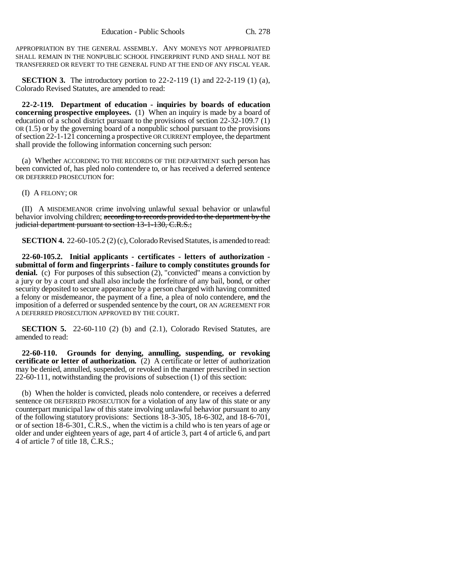APPROPRIATION BY THE GENERAL ASSEMBLY. ANY MONEYS NOT APPROPRIATED SHALL REMAIN IN THE NONPUBLIC SCHOOL FINGERPRINT FUND AND SHALL NOT BE TRANSFERRED OR REVERT TO THE GENERAL FUND AT THE END OF ANY FISCAL YEAR.

**SECTION 3.** The introductory portion to 22-2-119 (1) and 22-2-119 (1) (a), Colorado Revised Statutes, are amended to read:

**22-2-119. Department of education - inquiries by boards of education concerning prospective employees.** (1) When an inquiry is made by a board of education of a school district pursuant to the provisions of section 22-32-109.7 (1) OR (1.5) or by the governing board of a nonpublic school pursuant to the provisions of section 22-1-121 concerning a prospective OR CURRENT employee, the department shall provide the following information concerning such person:

(a) Whether ACCORDING TO THE RECORDS OF THE DEPARTMENT such person has been convicted of, has pled nolo contendere to, or has received a deferred sentence OR DEFERRED PROSECUTION for:

(I) A FELONY; OR

(II) A MISDEMEANOR crime involving unlawful sexual behavior or unlawful behavior involving children; according to records provided to the department by the judicial department pursuant to section 13-1-130, C.R.S.;

**SECTION 4.** 22-60-105.2 (2) (c), Colorado Revised Statutes, is amended to read:

**22-60-105.2. Initial applicants - certificates - letters of authorization submittal of form and fingerprints - failure to comply constitutes grounds for denial.** (c) For purposes of this subsection (2), "convicted" means a conviction by a jury or by a court and shall also include the forfeiture of any bail, bond, or other security deposited to secure appearance by a person charged with having committed a felony or misdemeanor, the payment of a fine, a plea of nolo contendere, and the imposition of a deferred or suspended sentence by the court, OR AN AGREEMENT FOR A DEFERRED PROSECUTION APPROVED BY THE COURT.

**SECTION 5.** 22-60-110 (2) (b) and (2.1), Colorado Revised Statutes, are amended to read:

**22-60-110. Grounds for denying, annulling, suspending, or revoking certificate or letter of authorization.** (2) A certificate or letter of authorization may be denied, annulled, suspended, or revoked in the manner prescribed in section 22-60-111, notwithstanding the provisions of subsection (1) of this section:

(b) When the holder is convicted, pleads nolo contendere, or receives a deferred sentence OR DEFERRED PROSECUTION for a violation of any law of this state or any counterpart municipal law of this state involving unlawful behavior pursuant to any of the following statutory provisions: Sections 18-3-305, 18-6-302, and 18-6-701, or of section 18-6-301, C.R.S., when the victim is a child who is ten years of age or older and under eighteen years of age, part 4 of article 3, part 4 of article 6, and part 4 of article 7 of title 18, C.R.S.;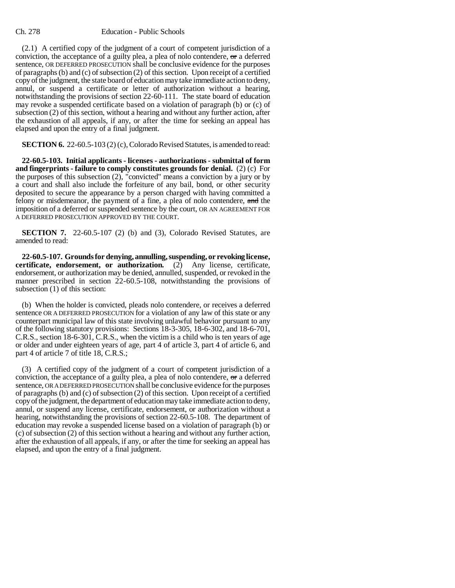#### Ch. 278 Education - Public Schools

(2.1) A certified copy of the judgment of a court of competent jurisdiction of a conviction, the acceptance of a guilty plea, a plea of nolo contendere, or a deferred sentence, OR DEFERRED PROSECUTION shall be conclusive evidence for the purposes of paragraphs (b) and (c) of subsection (2) of this section. Upon receipt of a certified copy of the judgment, the state board of education may take immediate action to deny, annul, or suspend a certificate or letter of authorization without a hearing, notwithstanding the provisions of section 22-60-111. The state board of education may revoke a suspended certificate based on a violation of paragraph (b) or (c) of subsection (2) of this section, without a hearing and without any further action, after the exhaustion of all appeals, if any, or after the time for seeking an appeal has elapsed and upon the entry of a final judgment.

**SECTION 6.** 22-60.5-103 (2) (c), Colorado Revised Statutes, is amended to read:

**22-60.5-103. Initial applicants - licenses - authorizations - submittal of form and fingerprints - failure to comply constitutes grounds for denial.** (2) (c) For the purposes of this subsection (2), "convicted" means a conviction by a jury or by a court and shall also include the forfeiture of any bail, bond, or other security deposited to secure the appearance by a person charged with having committed a felony or misdemeanor, the payment of a fine, a plea of nolo contendere, and the imposition of a deferred or suspended sentence by the court, OR AN AGREEMENT FOR A DEFERRED PROSECUTION APPROVED BY THE COURT.

**SECTION 7.** 22-60.5-107 (2) (b) and (3), Colorado Revised Statutes, are amended to read:

**22-60.5-107. Grounds for denying, annulling, suspending, or revoking license, certificate, endorsement, or authorization.** (2) Any license, certificate, endorsement, or authorization may be denied, annulled, suspended, or revoked in the manner prescribed in section 22-60.5-108, notwithstanding the provisions of subsection (1) of this section:

(b) When the holder is convicted, pleads nolo contendere, or receives a deferred sentence OR A DEFERRED PROSECUTION for a violation of any law of this state or any counterpart municipal law of this state involving unlawful behavior pursuant to any of the following statutory provisions: Sections 18-3-305, 18-6-302, and 18-6-701, C.R.S., section 18-6-301, C.R.S., when the victim is a child who is ten years of age or older and under eighteen years of age, part 4 of article 3, part 4 of article 6, and part 4 of article 7 of title 18, C.R.S.;

(3) A certified copy of the judgment of a court of competent jurisdiction of a conviction, the acceptance of a guilty plea, a plea of nolo contendere,  $\sigma$  a deferred sentence, OR A DEFERRED PROSECUTION shall be conclusive evidence for the purposes of paragraphs (b) and (c) of subsection (2) of this section. Upon receipt of a certified copy of the judgment, the department of education may take immediate action to deny, annul, or suspend any license, certificate, endorsement, or authorization without a hearing, notwithstanding the provisions of section 22-60.5-108. The department of education may revoke a suspended license based on a violation of paragraph (b) or (c) of subsection (2) of this section without a hearing and without any further action, after the exhaustion of all appeals, if any, or after the time for seeking an appeal has elapsed, and upon the entry of a final judgment.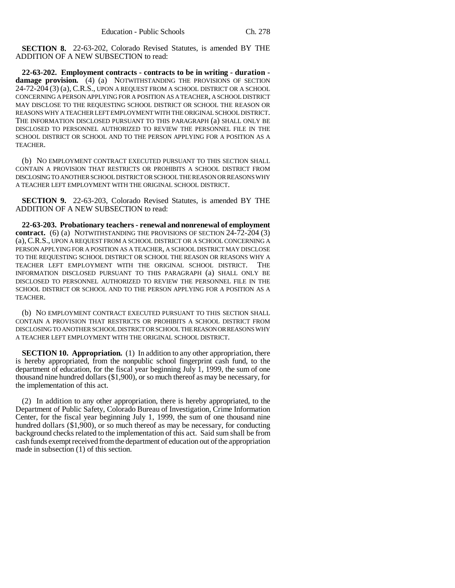**SECTION 8.** 22-63-202, Colorado Revised Statutes, is amended BY THE ADDITION OF A NEW SUBSECTION to read:

**22-63-202. Employment contracts - contracts to be in writing - duration damage provision.** (4) (a) NOTWITHSTANDING THE PROVISIONS OF SECTION 24-72-204 (3) (a), C.R.S., UPON A REQUEST FROM A SCHOOL DISTRICT OR A SCHOOL CONCERNING A PERSON APPLYING FOR A POSITION AS A TEACHER, A SCHOOL DISTRICT MAY DISCLOSE TO THE REQUESTING SCHOOL DISTRICT OR SCHOOL THE REASON OR REASONS WHY A TEACHER LEFT EMPLOYMENT WITH THE ORIGINAL SCHOOL DISTRICT. THE INFORMATION DISCLOSED PURSUANT TO THIS PARAGRAPH (a) SHALL ONLY BE DISCLOSED TO PERSONNEL AUTHORIZED TO REVIEW THE PERSONNEL FILE IN THE SCHOOL DISTRICT OR SCHOOL AND TO THE PERSON APPLYING FOR A POSITION AS A TEACHER.

(b) NO EMPLOYMENT CONTRACT EXECUTED PURSUANT TO THIS SECTION SHALL CONTAIN A PROVISION THAT RESTRICTS OR PROHIBITS A SCHOOL DISTRICT FROM DISCLOSING TO ANOTHER SCHOOL DISTRICT OR SCHOOL THE REASON OR REASONS WHY A TEACHER LEFT EMPLOYMENT WITH THE ORIGINAL SCHOOL DISTRICT.

**SECTION 9.** 22-63-203, Colorado Revised Statutes, is amended BY THE ADDITION OF A NEW SUBSECTION to read:

**22-63-203. Probationary teachers - renewal and nonrenewal of employment contract.** (6) (a) NOTWITHSTANDING THE PROVISIONS OF SECTION 24-72-204 (3) (a),C.R.S., UPON A REQUEST FROM A SCHOOL DISTRICT OR A SCHOOL CONCERNING A PERSON APPLYING FOR A POSITION AS A TEACHER, A SCHOOL DISTRICT MAY DISCLOSE TO THE REQUESTING SCHOOL DISTRICT OR SCHOOL THE REASON OR REASONS WHY A TEACHER LEFT EMPLOYMENT WITH THE ORIGINAL SCHOOL DISTRICT. THE INFORMATION DISCLOSED PURSUANT TO THIS PARAGRAPH (a) SHALL ONLY BE DISCLOSED TO PERSONNEL AUTHORIZED TO REVIEW THE PERSONNEL FILE IN THE SCHOOL DISTRICT OR SCHOOL AND TO THE PERSON APPLYING FOR A POSITION AS A TEACHER.

(b) NO EMPLOYMENT CONTRACT EXECUTED PURSUANT TO THIS SECTION SHALL CONTAIN A PROVISION THAT RESTRICTS OR PROHIBITS A SCHOOL DISTRICT FROM DISCLOSING TO ANOTHER SCHOOL DISTRICT OR SCHOOL THE REASON OR REASONS WHY A TEACHER LEFT EMPLOYMENT WITH THE ORIGINAL SCHOOL DISTRICT.

**SECTION 10. Appropriation.** (1) In addition to any other appropriation, there is hereby appropriated, from the nonpublic school fingerprint cash fund, to the department of education, for the fiscal year beginning July 1, 1999, the sum of one thousand nine hundred dollars (\$1,900), or so much thereof as may be necessary, for the implementation of this act.

(2) In addition to any other appropriation, there is hereby appropriated, to the Department of Public Safety, Colorado Bureau of Investigation, Crime Information Center, for the fiscal year beginning July 1, 1999, the sum of one thousand nine hundred dollars (\$1,900), or so much thereof as may be necessary, for conducting background checks related to the implementation of this act. Said sum shall be from cash funds exempt received from the department of education out of the appropriation made in subsection (1) of this section.